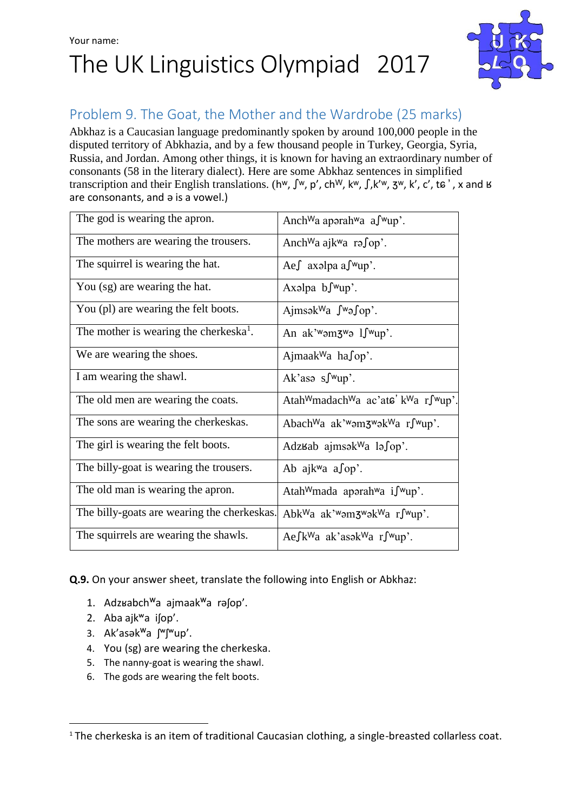## Your name: The UK Linguistics Olympiad 2017



### Problem 9. The Goat, the Mother and the Wardrobe (25 marks)

Abkhaz is a Caucasian language predominantly spoken by around 100,000 people in the disputed territory of Abkhazia, and by a few thousand people in Turkey, Georgia, Syria, Russia, and Jordan. Among other things, it is known for having an extraordinary number of consonants (58 in the literary dialect). Here are some Abkhaz sentences in simplified transcription and their English translations. (h<sup>w</sup>,  $\int w$ ,  $p'$ , ch<sup>W</sup>, k<sup>w</sup>,  $\int x^2$ , k', c', to', x and B are consonants, and ә is a vowel.)

| The god is wearing the apron.                      | Anch <sup>W</sup> a aporah <sup>w</sup> a a∫ <sup>w</sup> up'.                                |  |
|----------------------------------------------------|-----------------------------------------------------------------------------------------------|--|
| The mothers are wearing the trousers.              | Anch <sup>W</sup> a ajk <sup>w</sup> a rə∫op'.                                                |  |
| The squirrel is wearing the hat.                   | Ae∫ axəlpa a∫ <sup>w</sup> up'.                                                               |  |
| You (sg) are wearing the hat.                      | Axalpa $\mathbf{b}$ $\mathbf{f}^{\mathsf{w}}$ up'.                                            |  |
| You (pl) are wearing the felt boots.               | $AimsakWa$ $\int w_3 \int op$ .                                                               |  |
| The mother is wearing the cherkeska <sup>1</sup> . | An ak' <sup>w</sup> am $3^w$ a $1$ $\int$ $wup$ .                                             |  |
| We are wearing the shoes.                          | Ajmaak <sup>W</sup> a ha $\int$ op'.                                                          |  |
| I am wearing the shawl.                            | Ak'asa s $\int wup'$ .                                                                        |  |
| The old men are wearing the coats.                 | Atah <sup>W</sup> madach <sup>W</sup> a ac'ata' k <sup>W</sup> a r∫ <sup>w</sup> up'.         |  |
| The sons are wearing the cherkeskas.               | Abach <sup>W</sup> a ak' <sup>w</sup> əm3 <sup>w</sup> ək <sup>W</sup> a r∫ <sup>w</sup> up'. |  |
| The girl is wearing the felt boots.                | Adzʁab ajmsək <sup>w</sup> a lə∫op'.                                                          |  |
| The billy-goat is wearing the trousers.            | Ab ajk <sup>w</sup> a a∫op'.                                                                  |  |
| The old man is wearing the apron.                  | Atah <sup>W</sup> mada aporah <sup>w</sup> a i $\int^w u p$ .                                 |  |
| The billy-goats are wearing the cherkeskas.        | Abk <sup>W</sup> a ak' <sup>w</sup> am3 <sup>w</sup> ak <sup>W</sup> a rf <sup>w</sup> up'.   |  |
| The squirrels are wearing the shawls.              | Ae $\int k^{\mathsf{W}}a$ ak'asək $\mathsf{W}a$ r $\int \mathsf{W}up'$ .                      |  |

**Q.9.** On your answer sheet, translate the following into English or Abkhaz:

- 1. Adzʁabch<sup>w</sup>a ajmaak<sup>w</sup>a rәʃор'.
- 2. Aba ajkʷa iʃop'.

.

- 3. Ak'asәk<sup>w</sup>a ʃ<sup>w</sup>ʃ<sup>w</sup>up'.
- 4. You (sg) are wearing the cherkeska.
- 5. The nanny-goat is wearing the shawl.
- 6. The gods are wearing the felt boots.

<sup>&</sup>lt;sup>1</sup> The cherkeska is an item of traditional Caucasian clothing, a single-breasted collarless coat.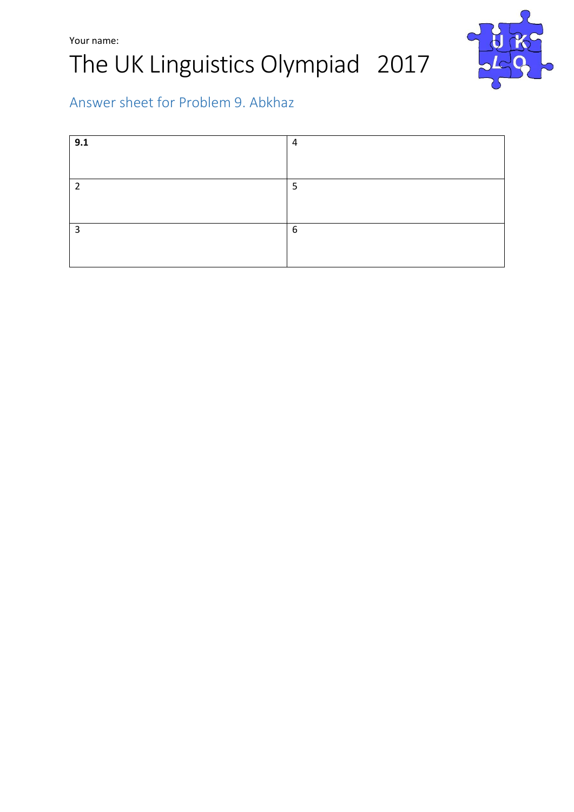



## Answer sheet for Problem 9. Abkhaz

| 9.1 | 4 |
|-----|---|
|     |   |
| 2   | 5 |
|     |   |
| 3   | 6 |
|     |   |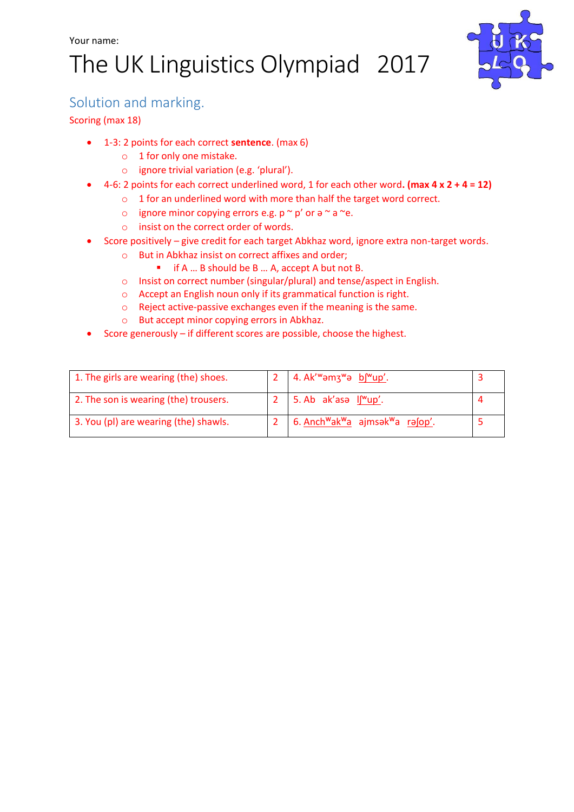# The UK Linguistics Olympiad 2017



#### Solution and marking.

#### Scoring (max 18)

- 1-3: 2 points for each correct **sentence**. (max 6)
	- o 1 for only one mistake.
	- o ignore trivial variation (e.g. 'plural').
- 4-6: 2 points for each correct underlined word, 1 for each other word**. (max 4 x 2 + 4 = 12)**
	- o 1 for an underlined word with more than half the target word correct.
		- o ignore minor copying errors e.g.  $p \sim p'$  or  $\theta \sim a \sim e$ .
		- o insist on the correct order of words.
- Score positively give credit for each target Abkhaz word, ignore extra non-target words.
	- o But in Abkhaz insist on correct affixes and order;
		- if A ... B should be B ... A, accept A but not B.
	- o Insist on correct number (singular/plural) and tense/aspect in English.
	- o Accept an English noun only if its grammatical function is right.
	- o Reject active-passive exchanges even if the meaning is the same.
	- o But accept minor copying errors in Abkhaz.
- Score generously if different scores are possible, choose the highest.

| 1. The girls are wearing (the) shoes. | 4. Ak' <sup>w</sup> amz <sup>w</sup> a b <sup>[w</sup> up'.                    |  |
|---------------------------------------|--------------------------------------------------------------------------------|--|
| 2. The son is wearing (the) trousers. | $\vert$ 5. Ab ak'asa $\vert \underline{\uparrow \text{w}} \underline{\upmu}$ . |  |
| 3. You (pl) are wearing (the) shawls. | 6. Anch <sup>w</sup> ak <sup>w</sup> a ajmsak <sup>w</sup> a rafop'.           |  |